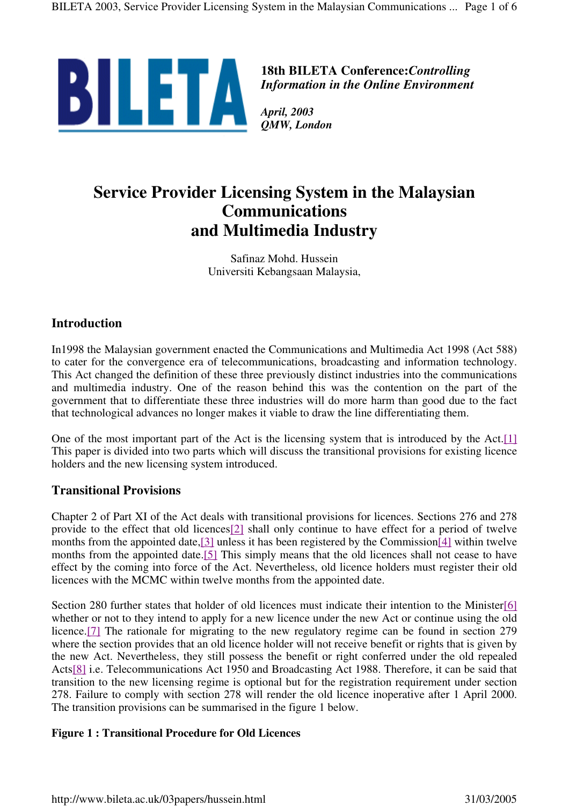

**18th BILETA Conference:***Controlling Information in the Online Environment*

*QMW, London*

# **Service Provider Licensing System in the Malaysian Communications and Multimedia Industry**

Safinaz Mohd. Hussein Universiti Kebangsaan Malaysia,

# **Introduction**

In1998 the Malaysian government enacted the Communications and Multimedia Act 1998 (Act 588) to cater for the convergence era of telecommunications, broadcasting and information technology. This Act changed the definition of these three previously distinct industries into the communications and multimedia industry. One of the reason behind this was the contention on the part of the government that to differentiate these three industries will do more harm than good due to the fact that technological advances no longer makes it viable to draw the line differentiating them.

One of the most important part of the Act is the licensing system that is introduced by the Act.[1] This paper is divided into two parts which will discuss the transitional provisions for existing licence holders and the new licensing system introduced.

# **Transitional Provisions**

Chapter 2 of Part XI of the Act deals with transitional provisions for licences. Sections 276 and 278 provide to the effect that old licences[2] shall only continue to have effect for a period of twelve months from the appointed date,[3] unless it has been registered by the Commission[4] within twelve months from the appointed date.<sup>[5]</sup> This simply means that the old licences shall not cease to have effect by the coming into force of the Act. Nevertheless, old licence holders must register their old licences with the MCMC within twelve months from the appointed date.

Section 280 further states that holder of old licences must indicate their intention to the Minister[6] whether or not to they intend to apply for a new licence under the new Act or continue using the old licence.[7] The rationale for migrating to the new regulatory regime can be found in section 279 where the section provides that an old licence holder will not receive benefit or rights that is given by the new Act. Nevertheless, they still possess the benefit or right conferred under the old repealed Acts[8] i.e. Telecommunications Act 1950 and Broadcasting Act 1988. Therefore, it can be said that transition to the new licensing regime is optional but for the registration requirement under section 278. Failure to comply with section 278 will render the old licence inoperative after 1 April 2000. The transition provisions can be summarised in the figure 1 below.

#### **Figure 1 : Transitional Procedure for Old Licences**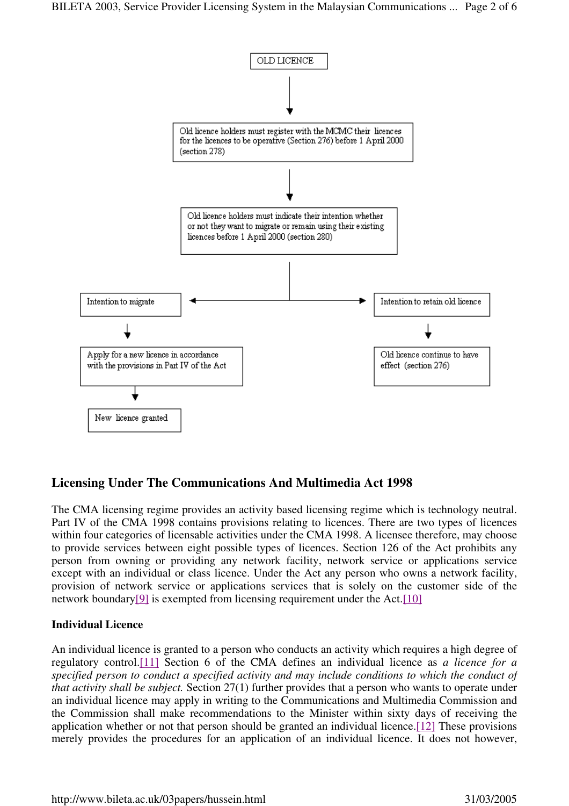

# **Licensing Under The Communications And Multimedia Act 1998**

The CMA licensing regime provides an activity based licensing regime which is technology neutral. Part IV of the CMA 1998 contains provisions relating to licences. There are two types of licences within four categories of licensable activities under the CMA 1998. A licensee therefore, may choose to provide services between eight possible types of licences. Section 126 of the Act prohibits any person from owning or providing any network facility, network service or applications service except with an individual or class licence. Under the Act any person who owns a network facility, provision of network service or applications services that is solely on the customer side of the network boundary<sup>[9]</sup> is exempted from licensing requirement under the Act.<sup>[10]</sup>

#### **Individual Licence**

An individual licence is granted to a person who conducts an activity which requires a high degree of regulatory control.[11] Section 6 of the CMA defines an individual licence as *a licence for a specified person to conduct a specified activity and may include conditions to which the conduct of that activity shall be subject.* Section 27(1) further provides that a person who wants to operate under an individual licence may apply in writing to the Communications and Multimedia Commission and the Commission shall make recommendations to the Minister within sixty days of receiving the application whether or not that person should be granted an individual licence.[12] These provisions merely provides the procedures for an application of an individual licence. It does not however,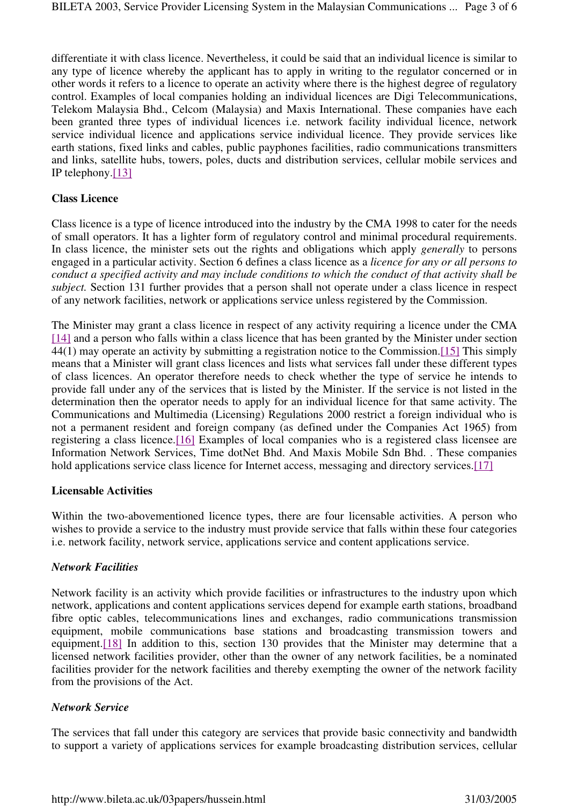differentiate it with class licence. Nevertheless, it could be said that an individual licence is similar to any type of licence whereby the applicant has to apply in writing to the regulator concerned or in other words it refers to a licence to operate an activity where there is the highest degree of regulatory control. Examples of local companies holding an individual licences are Digi Telecommunications, Telekom Malaysia Bhd., Celcom (Malaysia) and Maxis International. These companies have each been granted three types of individual licences i.e. network facility individual licence, network service individual licence and applications service individual licence. They provide services like earth stations, fixed links and cables, public payphones facilities, radio communications transmitters and links, satellite hubs, towers, poles, ducts and distribution services, cellular mobile services and IP telephony.[13]

#### **Class Licence**

Class licence is a type of licence introduced into the industry by the CMA 1998 to cater for the needs of small operators. It has a lighter form of regulatory control and minimal procedural requirements. In class licence, the minister sets out the rights and obligations which apply *generally* to persons engaged in a particular activity. Section 6 defines a class licence as a *licence for any or all persons to conduct a specified activity and may include conditions to which the conduct of that activity shall be subject.* Section 131 further provides that a person shall not operate under a class licence in respect of any network facilities, network or applications service unless registered by the Commission.

The Minister may grant a class licence in respect of any activity requiring a licence under the CMA [14] and a person who falls within a class licence that has been granted by the Minister under section 44(1) may operate an activity by submitting a registration notice to the Commission.[15] This simply means that a Minister will grant class licences and lists what services fall under these different types of class licences. An operator therefore needs to check whether the type of service he intends to provide fall under any of the services that is listed by the Minister. If the service is not listed in the determination then the operator needs to apply for an individual licence for that same activity. The Communications and Multimedia (Licensing) Regulations 2000 restrict a foreign individual who is not a permanent resident and foreign company (as defined under the Companies Act 1965) from registering a class licence.[16] Examples of local companies who is a registered class licensee are Information Network Services, Time dotNet Bhd. And Maxis Mobile Sdn Bhd. . These companies hold applications service class licence for Internet access, messaging and directory services.[17]

#### **Licensable Activities**

Within the two-abovementioned licence types, there are four licensable activities. A person who wishes to provide a service to the industry must provide service that falls within these four categories i.e. network facility, network service, applications service and content applications service.

#### *Network Facilities*

Network facility is an activity which provide facilities or infrastructures to the industry upon which network, applications and content applications services depend for example earth stations, broadband fibre optic cables, telecommunications lines and exchanges, radio communications transmission equipment, mobile communications base stations and broadcasting transmission towers and equipment.[18] In addition to this, section 130 provides that the Minister may determine that a licensed network facilities provider, other than the owner of any network facilities, be a nominated facilities provider for the network facilities and thereby exempting the owner of the network facility from the provisions of the Act.

#### *Network Service*

The services that fall under this category are services that provide basic connectivity and bandwidth to support a variety of applications services for example broadcasting distribution services, cellular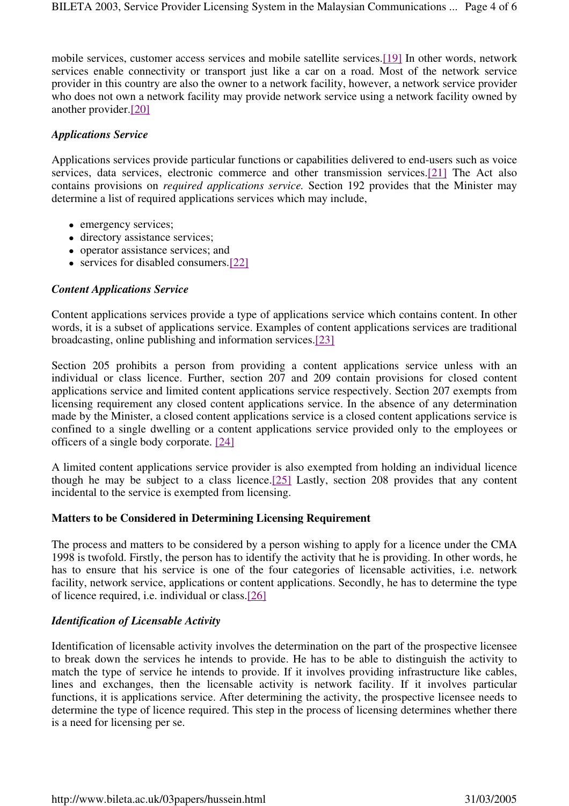mobile services, customer access services and mobile satellite services.[19] In other words, network services enable connectivity or transport just like a car on a road. Most of the network service provider in this country are also the owner to a network facility, however, a network service provider who does not own a network facility may provide network service using a network facility owned by another provider.[20]

#### *Applications Service*

Applications services provide particular functions or capabilities delivered to end-users such as voice services, data services, electronic commerce and other transmission services.[21] The Act also contains provisions on *required applications service.* Section 192 provides that the Minister may determine a list of required applications services which may include,

- emergency services;
- directory assistance services;
- operator assistance services; and
- services for disabled consumers.[22]

#### *Content Applications Service*

Content applications services provide a type of applications service which contains content. In other words, it is a subset of applications service. Examples of content applications services are traditional broadcasting, online publishing and information services.[23]

Section 205 prohibits a person from providing a content applications service unless with an individual or class licence. Further, section 207 and 209 contain provisions for closed content applications service and limited content applications service respectively. Section 207 exempts from licensing requirement any closed content applications service. In the absence of any determination made by the Minister, a closed content applications service is a closed content applications service is confined to a single dwelling or a content applications service provided only to the employees or officers of a single body corporate. [24]

A limited content applications service provider is also exempted from holding an individual licence though he may be subject to a class licence.[25] Lastly, section 208 provides that any content incidental to the service is exempted from licensing.

#### **Matters to be Considered in Determining Licensing Requirement**

The process and matters to be considered by a person wishing to apply for a licence under the CMA 1998 is twofold. Firstly, the person has to identify the activity that he is providing. In other words, he has to ensure that his service is one of the four categories of licensable activities, i.e. network facility, network service, applications or content applications. Secondly, he has to determine the type of licence required, i.e. individual or class.[26]

# *Identification of Licensable Activity*

Identification of licensable activity involves the determination on the part of the prospective licensee to break down the services he intends to provide. He has to be able to distinguish the activity to match the type of service he intends to provide. If it involves providing infrastructure like cables, lines and exchanges, then the licensable activity is network facility. If it involves particular functions, it is applications service. After determining the activity, the prospective licensee needs to determine the type of licence required. This step in the process of licensing determines whether there is a need for licensing per se.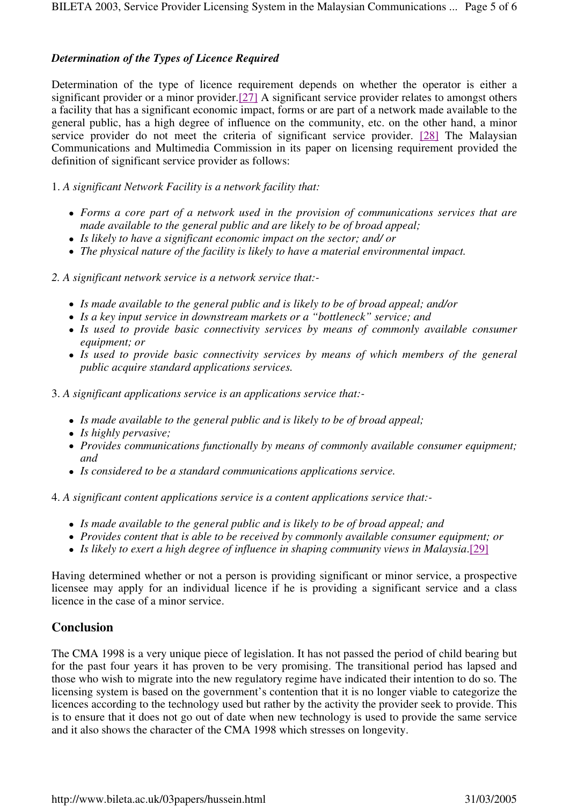### *Determination of the Types of Licence Required*

Determination of the type of licence requirement depends on whether the operator is either a significant provider or a minor provider.[27] A significant service provider relates to amongst others a facility that has a significant economic impact, forms or are part of a network made available to the general public, has a high degree of influence on the community, etc. on the other hand, a minor service provider do not meet the criteria of significant service provider. [28] The Malaysian Communications and Multimedia Commission in its paper on licensing requirement provided the definition of significant service provider as follows:

1. *A significant Network Facility is a network facility that:*

- *Forms a core part of a network used in the provision of communications services that are made available to the general public and are likely to be of broad appeal;*
- *Is likely to have a significant economic impact on the sector; and/ or*
- *The physical nature of the facility is likely to have a material environmental impact.*
- *2. A significant network service is a network service that:-*
	- *Is made available to the general public and is likely to be of broad appeal; and/or*
	- *Is a key input service in downstream markets or a "bottleneck" service; and*
	- *Is used to provide basic connectivity services by means of commonly available consumer equipment; or*
	- *Is used to provide basic connectivity services by means of which members of the general public acquire standard applications services.*

3. *A significant applications service is an applications service that:-*

- *Is made available to the general public and is likely to be of broad appeal;*
- *Is highly pervasive;*
- *Provides communications functionally by means of commonly available consumer equipment; and*
- *Is considered to be a standard communications applications service.*

4. *A significant content applications service is a content applications service that:-*

- *Is made available to the general public and is likely to be of broad appeal; and*
- *Provides content that is able to be received by commonly available consumer equipment; or*
- Is likely to exert a high degree of influence in shaping community views in Malaysia.[29]

Having determined whether or not a person is providing significant or minor service, a prospective licensee may apply for an individual licence if he is providing a significant service and a class licence in the case of a minor service.

# **Conclusion**

The CMA 1998 is a very unique piece of legislation. It has not passed the period of child bearing but for the past four years it has proven to be very promising. The transitional period has lapsed and those who wish to migrate into the new regulatory regime have indicated their intention to do so. The licensing system is based on the government's contention that it is no longer viable to categorize the licences according to the technology used but rather by the activity the provider seek to provide. This is to ensure that it does not go out of date when new technology is used to provide the same service and it also shows the character of the CMA 1998 which stresses on longevity.